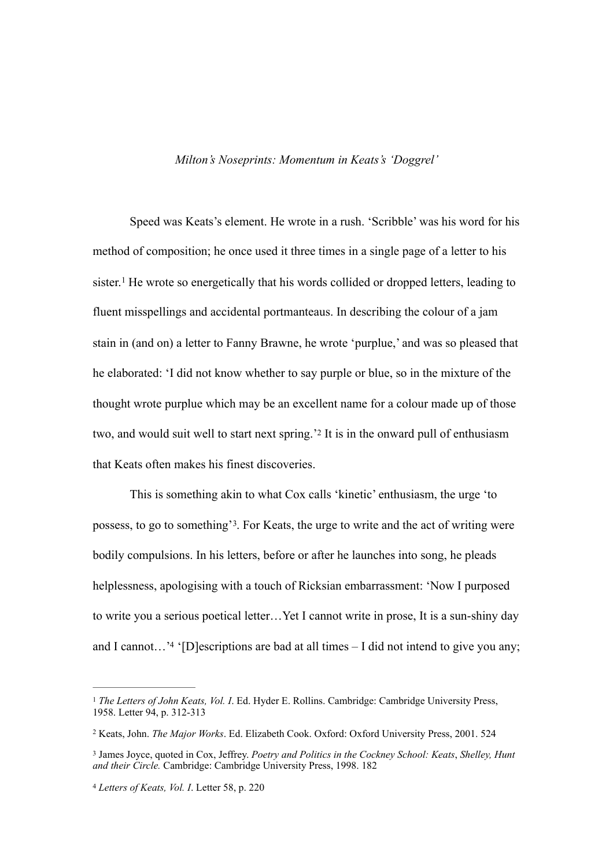## *Milton's Noseprints: Momentum in Keats's 'Doggrel'*

<span id="page-0-4"></span>Speed was Keats's element. He wrote in a rush. 'Scribble' was his word for his method of composition; he once used it three times in a single page of a letter to his sister.<sup>1</sup>He wrote so energetically that his words collided or dropped letters, leading to fluent misspellings and accidental portmanteaus. In describing the colour of a jam stain in (and on) a letter to Fanny Brawne, he wrote 'purplue,' and was so pleased that he elaborated: 'I did not know whether to say purple or blue, so in the mixture of the thought wrote purplue which may be an excellent name for a colour made up of those two, and would suit well to start next spring.'[2](#page-0-1) It is in the onward pull of enthusiasm that Keats often makes his finest discoveries.

<span id="page-0-6"></span><span id="page-0-5"></span>This is something akin to what Cox calls 'kinetic' enthusiasm, the urge 'to possess, to go to something'<sup>3</sup>[.](#page-0-2) For Keats, the urge to write and the act of writing were bodily compulsions. In his letters, before or after he launches into song, he pleads helplessness, apologising with a touch of Ricksian embarrassment: 'Now I purposed to write you a serious poetical letter…Yet I cannot write in prose, It is a sun-shiny day and I cannot...['](#page-0-3)<sup>[4](#page-0-3)</sup> '[D]escriptions are bad at all times  $-$  I did not intend to give you any;

<span id="page-0-7"></span><span id="page-0-0"></span>*The Letters of John Keats, Vol. I*. Ed. Hyder E. Rollins. Cambridge: Cambridge University Press, [1](#page-0-4) 1958. Letter 94, p. 312-313

<span id="page-0-1"></span><sup>&</sup>lt;sup>[2](#page-0-5)</sup> Keats, John. *The Major Works*. Ed. Elizabeth Cook. Oxford: Oxford University Press, 2001. 524

<span id="page-0-2"></span>James Joyce, quoted in Cox, Jeffrey. *Poetry and Politics in the Cockney School: Keats*, *Shelley, Hunt* [3](#page-0-6) *and their Circle.* Cambridge: Cambridge University Press, 1998. 182

<span id="page-0-3"></span>[<sup>4</sup>](#page-0-7) *Letters of Keats, Vol. I*. Letter 58, p. 220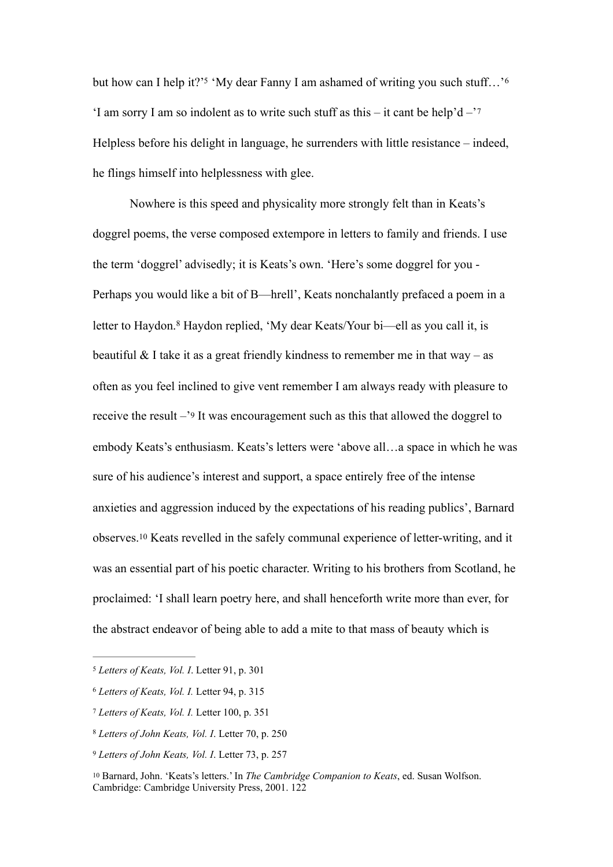<span id="page-1-8"></span><span id="page-1-7"></span><span id="page-1-6"></span>but how can I help it?['](#page-1-0)<sup>5</sup>'My dear Fanny I am ashamed of writing you such stuff...'<sup>6</sup> 'I am sorry I am so indolent as to write such stuff as this – it cant be help'd  $-$ '[7](#page-1-2) Helpless before his delight in language, he surrenders with little resistance – indeed, he flings himself into helplessness with glee.

<span id="page-1-10"></span><span id="page-1-9"></span>Nowhere is this speed and physicality more strongly felt than in Keats's doggrel poems, the verse composed extempore in letters to family and friends. I use the term 'doggrel' advisedly; it is Keats's own. 'Here's some doggrel for you - Perhaps you would like a bit of B—hrell', Keats nonchalantly prefaced a poem in a letterto Haydon.<sup>[8](#page-1-3)</sup> Haydon replied, 'My dear Keats/Your bi—ell as you call it, is beautiful  $&$  I take it as a great friendly kindness to remember me in that way – as often as you feel inclined to give vent remember I am always ready with pleasure to receive the result –'[9](#page-1-4) It was encouragement such as this that allowed the doggrel to embody Keats's enthusiasm. Keats's letters were 'above all…a space in which he was sure of his audience's interest and support, a space entirely free of the intense anxieties and aggression induced by the expectations of his reading publics', Barnard observes.[10](#page-1-5) Keats revelled in the safely communal experience of letter-writing, and it was an essential part of his poetic character. Writing to his brothers from Scotland, he proclaimed: 'I shall learn poetry here, and shall henceforth write more than ever, for the abstract endeavor of being able to add a mite to that mass of beauty which is

<span id="page-1-11"></span><span id="page-1-0"></span>[<sup>5</sup>](#page-1-6) *Letters of Keats, Vol. I*. Letter 91, p. 301

<span id="page-1-1"></span>*Letters of Keats, Vol. I.* Letter 94, p. 315 [6](#page-1-7)

<span id="page-1-2"></span>[<sup>7</sup>](#page-1-8) *Letters of Keats, Vol. I.* Letter 100, p. 351

<span id="page-1-3"></span>*Letters of John Keats, Vol. I*. Letter 70, p. 250 [8](#page-1-9)

<span id="page-1-4"></span>[<sup>9</sup>](#page-1-10) *Letters of John Keats, Vol. I*. Letter 73, p. 257

<span id="page-1-5"></span><sup>&</sup>lt;sup>[10](#page-1-11)</sup> Barnard, John. 'Keats's letters.' In *The Cambridge Companion to Keats*, ed. Susan Wolfson. Cambridge: Cambridge University Press, 2001. 122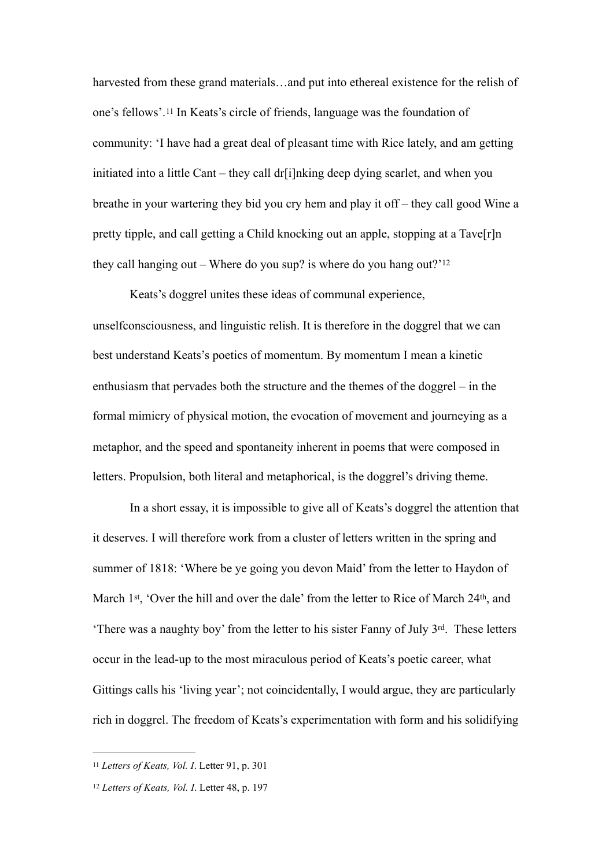<span id="page-2-2"></span>harvested from these grand materials...and put into ethereal existence for the relish of one's fellows'.[11](#page-2-0) In Keats's circle of friends, language was the foundation of community: 'I have had a great deal of pleasant time with Rice lately, and am getting initiated into a little Cant – they call dr[i]nking deep dying scarlet, and when you breathe in your wartering they bid you cry hem and play it off – they call good Wine a pretty tipple, and call getting a Child knocking out an apple, stopping at a Tave[r]n they call hanging out – Where do you sup? is where do you hang out? $12$ 

<span id="page-2-3"></span> Keats's doggrel unites these ideas of communal experience, unselfconsciousness, and linguistic relish. It is therefore in the doggrel that we can best understand Keats's poetics of momentum. By momentum I mean a kinetic enthusiasm that pervades both the structure and the themes of the doggrel – in the formal mimicry of physical motion, the evocation of movement and journeying as a metaphor, and the speed and spontaneity inherent in poems that were composed in letters. Propulsion, both literal and metaphorical, is the doggrel's driving theme.

In a short essay, it is impossible to give all of Keats's doggrel the attention that it deserves. I will therefore work from a cluster of letters written in the spring and summer of 1818: 'Where be ye going you devon Maid' from the letter to Haydon of March 1<sup>st</sup>, 'Over the hill and over the dale' from the letter to Rice of March 24<sup>th</sup>, and 'There was a naughty boy' from the letter to his sister Fanny of July 3rd. These letters occur in the lead-up to the most miraculous period of Keats's poetic career, what Gittings calls his 'living year'; not coincidentally, I would argue, they are particularly rich in doggrel. The freedom of Keats's experimentation with form and his solidifying

<span id="page-2-0"></span>[<sup>11</sup>](#page-2-2) *Letters of Keats, Vol. I*. Letter 91, p. 301

<span id="page-2-1"></span>[<sup>12</sup>](#page-2-3) *Letters of Keats, Vol. I*. Letter 48, p. 197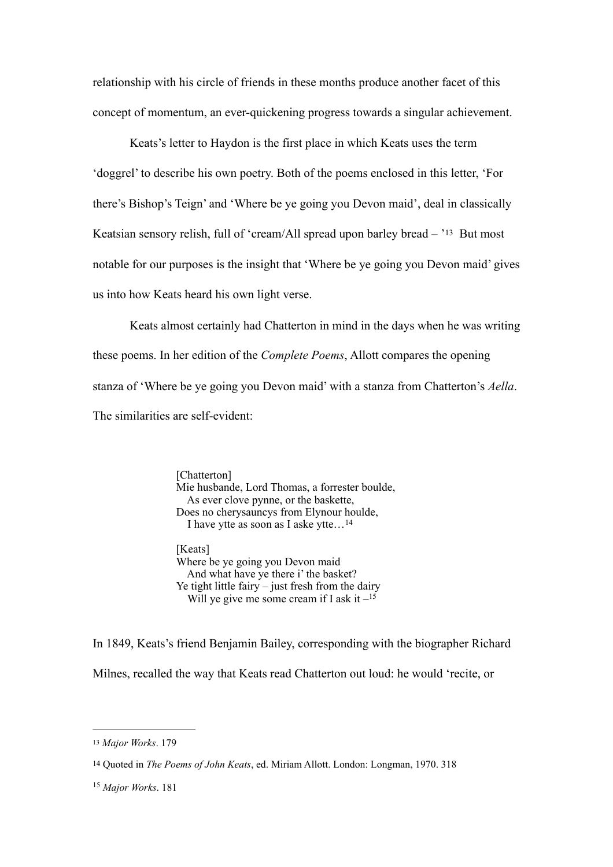relationship with his circle of friends in these months produce another facet of this concept of momentum, an ever-quickening progress towards a singular achievement.

<span id="page-3-3"></span> Keats's letter to Haydon is the first place in which Keats uses the term 'doggrel' to describe his own poetry. Both of the poems enclosed in this letter, 'For there's Bishop's Teign' and 'Where be ye going you Devon maid', deal in classically Keatsian sensory relish, full of 'cream/All spread upon barley bread – '[13](#page-3-0) But most notable for our purposes is the insight that 'Where be ye going you Devon maid' gives us into how Keats heard his own light verse.

Keats almost certainly had Chatterton in mind in the days when he was writing these poems. In her edition of the *Complete Poems*, Allott compares the opening stanza of 'Where be ye going you Devon maid' with a stanza from Chatterton's *Aella*. The similarities are self-evident:

> [Chatterton] Mie husbande, Lord Thomas, a forrester boulde, As ever clove pynne, or the baskette, Does no cherysauncys from Elynour houlde, I have ytte as soon as I aske ytte…[14](#page-3-1)

<span id="page-3-5"></span><span id="page-3-4"></span>[Keats] Where be ye going you Devon maid And what have ye there i' the basket? Ye tight little fairy – just fresh from the dairy Will ye give me some cream if I ask it  $-15$  $-15$ 

In 1849, Keats's friend Benjamin Bailey, corresponding with the biographer Richard Milnes, recalled the way that Keats read Chatterton out loud: he would 'recite, or

<span id="page-3-0"></span>[<sup>13</sup>](#page-3-3) *Major Works*. 179

<span id="page-3-1"></span>[<sup>14</sup>](#page-3-4) Quoted in *The Poems of John Keats*, ed. Miriam Allott. London: Longman, 1970. 318

<span id="page-3-2"></span><sup>&</sup>lt;sup>[15](#page-3-5)</sup> *Major Works* 181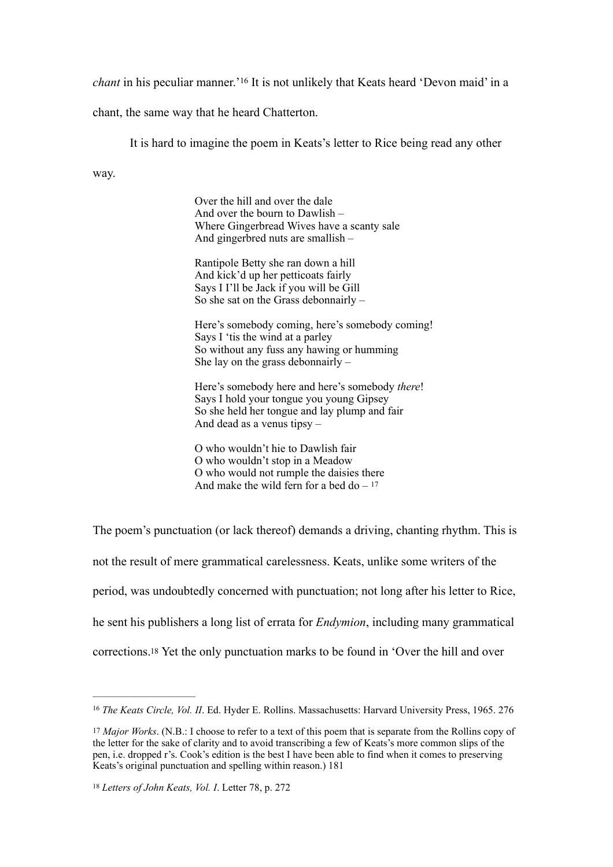*chant*in his peculiar manner.<sup>'[16](#page-4-0)</sup> It is not unlikely that Keats heard 'Devon maid' in a

chant, the same way that he heard Chatterton.

<span id="page-4-3"></span>It is hard to imagine the poem in Keats's letter to Rice being read any other

way.

Over the hill and over the dale And over the bourn to Dawlish – Where Gingerbread Wives have a scanty sale And gingerbred nuts are smallish –

Rantipole Betty she ran down a hill And kick'd up her petticoats fairly Says I I'll be Jack if you will be Gill So she sat on the Grass debonnairly  $-$ 

Here's somebody coming, here's somebody coming! Says I 'tis the wind at a parley So without any fuss any hawing or humming She lay on the grass debonnairly –

Here's somebody here and here's somebody *there*! Says I hold your tongue you young Gipsey So she held her tongue and lay plump and fair And dead as a venus tipsy –

<span id="page-4-4"></span>O who wouldn't hie to Dawlish fair O who wouldn't stop in a Meadow O who would not rumple the daisies there And make the wild fern for a bed do  $-17$ 

The poem's punctuation (or lack thereof) demands a driving, chanting rhythm. This is not the result of mere grammatical carelessness. Keats, unlike some writers of the period, was undoubtedly concerned with punctuation; not long after his letter to Rice, he sent his publishers a long list of errata for *Endymion*, including many grammatical corrections[.18](#page-4-2) Yet the only punctuation marks to be found in 'Over the hill and over

<span id="page-4-5"></span><span id="page-4-0"></span><sup>&</sup>lt;sup>[16](#page-4-3)</sup> The Keats Circle, Vol. II. Ed. Hyder E. Rollins. Massachusetts: Harvard University Press, 1965. 276

<span id="page-4-1"></span><sup>&</sup>lt;sup>[17](#page-4-4)</sup> Major Works. (N.B.: I choose to refer to a text of this poem that is separate from the Rollins copy of the letter for the sake of clarity and to avoid transcribing a few of Keats's more common slips of the pen, i.e. dropped r's. Cook's edition is the best I have been able to find when it comes to preserving Keats's original punctuation and spelling within reason.) 181

<span id="page-4-2"></span>[<sup>18</sup>](#page-4-5) *Letters of John Keats, Vol. I*. Letter 78, p. 272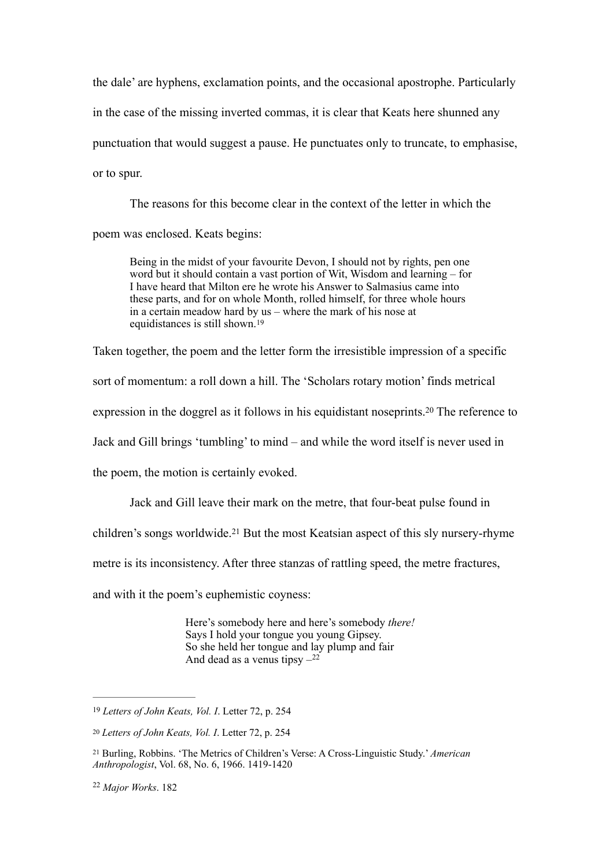the dale' are hyphens, exclamation points, and the occasional apostrophe. Particularly in the case of the missing inverted commas, it is clear that Keats here shunned any punctuation that would suggest a pause. He punctuates only to truncate, to emphasise, or to spur.

The reasons for this become clear in the context of the letter in which the poem was enclosed. Keats begins:

<span id="page-5-4"></span>Being in the midst of your favourite Devon, I should not by rights, pen one word but it should contain a vast portion of Wit, Wisdom and learning – for I have heard that Milton ere he wrote his Answer to Salmasius came into these parts, and for on whole Month, rolled himself, for three whole hours in a certain meadow hard by us – where the mark of his nose at equidistances is still shown.[19](#page-5-0)

Taken together, the poem and the letter form the irresistible impression of a specific

sort of momentum: a roll down a hill. The 'Scholars rotary motion' finds metrical

expressionin the doggrel as it follows in his equidistant noseprints.<sup>[20](#page-5-1)</sup> The reference to

Jack and Gill brings 'tumbling' to mind – and while the word itself is never used in

the poem, the motion is certainly evoked.

<span id="page-5-5"></span>Jack and Gill leave their mark on the metre, that four-beat pulse found in

children'ssongs worldwide.<sup>[21](#page-5-2)</sup> But the most Keatsian aspect of this sly nursery-rhyme

metre is its inconsistency. After three stanzas of rattling speed, the metre fractures,

and with it the poem's euphemistic coyness:

<span id="page-5-7"></span><span id="page-5-6"></span>Here's somebody here and here's somebody *there!*  Says I hold your tongue you young Gipsey. So she held her tongue and lay plump and fair And dead as a venus tipsy  $-22$  $-22$ 

<span id="page-5-0"></span>[<sup>19</sup>](#page-5-4) *Letters of John Keats, Vol. I*. Letter 72, p. 254

<span id="page-5-1"></span>[<sup>20</sup>](#page-5-5) *Letters of John Keats, Vol. I*. Letter 72, p. 254

<span id="page-5-2"></span>Burling, Robbins. 'The Metrics of Children's Verse: A Cross-Linguistic Study.' *American* [21](#page-5-6) *Anthropologist*, Vol. 68, No. 6, 1966. 1419-1420

<span id="page-5-3"></span><sup>&</sup>lt;sup>[22](#page-5-7)</sup> Major Works, 182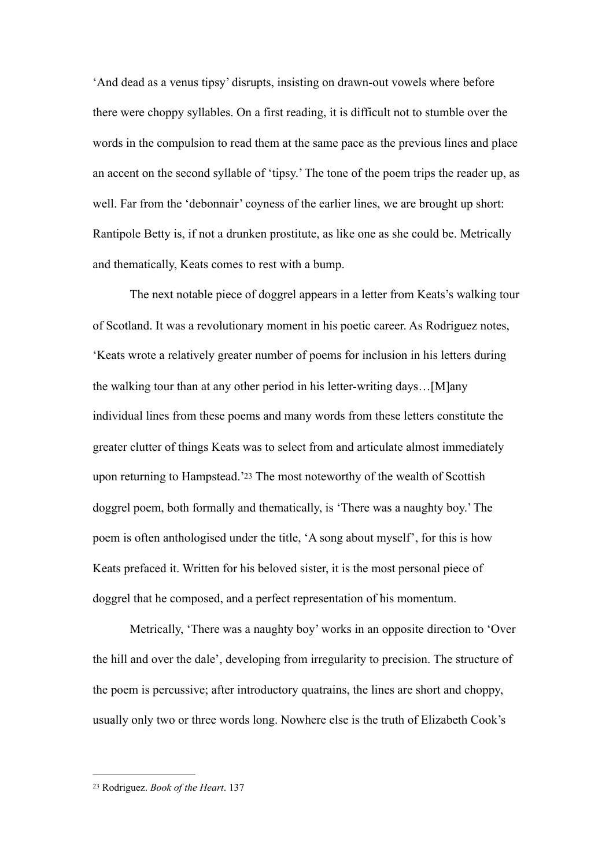'And dead as a venus tipsy' disrupts, insisting on drawn-out vowels where before there were choppy syllables. On a first reading, it is difficult not to stumble over the words in the compulsion to read them at the same pace as the previous lines and place an accent on the second syllable of 'tipsy.' The tone of the poem trips the reader up, as well. Far from the 'debonnair' coyness of the earlier lines, we are brought up short: Rantipole Betty is, if not a drunken prostitute, as like one as she could be. Metrically and thematically, Keats comes to rest with a bump.

The next notable piece of doggrel appears in a letter from Keats's walking tour of Scotland. It was a revolutionary moment in his poetic career. As Rodriguez notes, 'Keats wrote a relatively greater number of poems for inclusion in his letters during the walking tour than at any other period in his letter-writing days…[M]any individual lines from these poems and many words from these letters constitute the greater clutter of things Keats was to select from and articulate almost immediately upon returning to Hampstead.['23](#page-6-0) The most noteworthy of the wealth of Scottish doggrel poem, both formally and thematically, is 'There was a naughty boy.' The poem is often anthologised under the title, 'A song about myself', for this is how Keats prefaced it. Written for his beloved sister, it is the most personal piece of doggrel that he composed, and a perfect representation of his momentum.

<span id="page-6-1"></span>Metrically, 'There was a naughty boy' works in an opposite direction to 'Over the hill and over the dale', developing from irregularity to precision. The structure of the poem is percussive; after introductory quatrains, the lines are short and choppy, usually only two or three words long. Nowhere else is the truth of Elizabeth Cook's

<span id="page-6-0"></span>[<sup>23</sup>](#page-6-1) Rodriguez. *Book of the Heart*. 137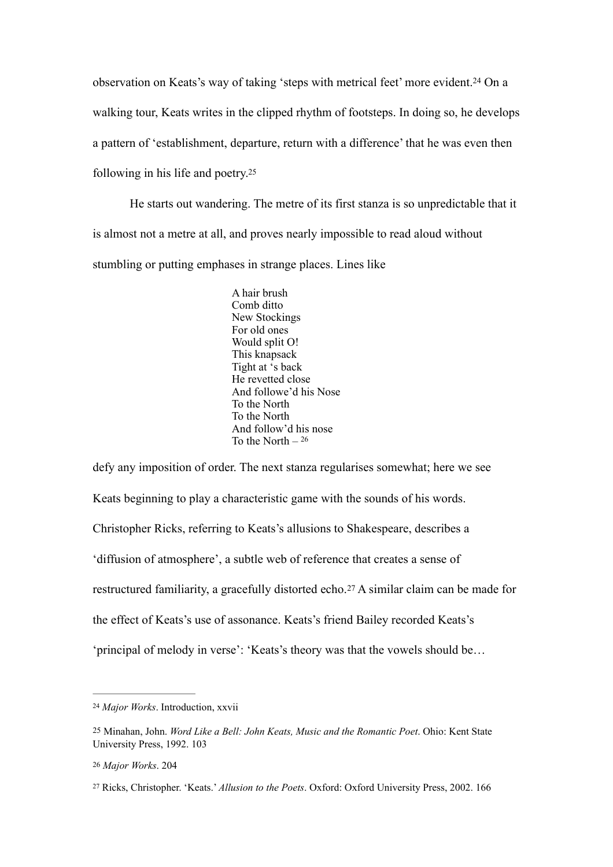observation on Keats's way of taking 'steps with metrical feet' more evident.<sup>[24](#page-7-0)</sup> On a walking tour, Keats writes in the clipped rhythm of footsteps. In doing so, he develops a pattern of 'establishment, departure, return with a difference' that he was even then following in his life and poetry[.25](#page-7-1)

He starts out wandering. The metre of its first stanza is so unpredictable that it is almost not a metre at all, and proves nearly impossible to read aloud without stumbling or putting emphases in strange places. Lines like

> <span id="page-7-6"></span><span id="page-7-5"></span><span id="page-7-4"></span>A hair brush Comb ditto New Stockings For old ones Would split O! This knapsack Tight at 's back He revetted close And followe'd his Nose To the North To the North And follow'd his nose To the North  $-26$

<span id="page-7-7"></span>defy any imposition of order. The next stanza regularises somewhat; here we see Keats beginning to play a characteristic game with the sounds of his words. Christopher Ricks, referring to Keats's allusions to Shakespeare, describes a 'diffusion of atmosphere', a subtle web of reference that creates a sense of restructured familiarity, a gracefully distorted echo.[27](#page-7-3) A similar claim can be made for the effect of Keats's use of assonance. Keats's friend Bailey recorded Keats's 'principal of melody in verse': 'Keats's theory was that the vowels should be…

<span id="page-7-0"></span>*Major Works*. Introduction, xxvii [24](#page-7-4)

<span id="page-7-1"></span>[<sup>25</sup>](#page-7-5) Minahan, John. *Word Like a Bell: John Keats, Music and the Romantic Poet*. Ohio: Kent State University Press, 1992. 103

<span id="page-7-2"></span>[<sup>26</sup>](#page-7-6) *Major Works*. 204

<span id="page-7-3"></span>[<sup>27</sup>](#page-7-7) Ricks, Christopher. 'Keats.' *Allusion to the Poets*. Oxford: Oxford University Press, 2002. 166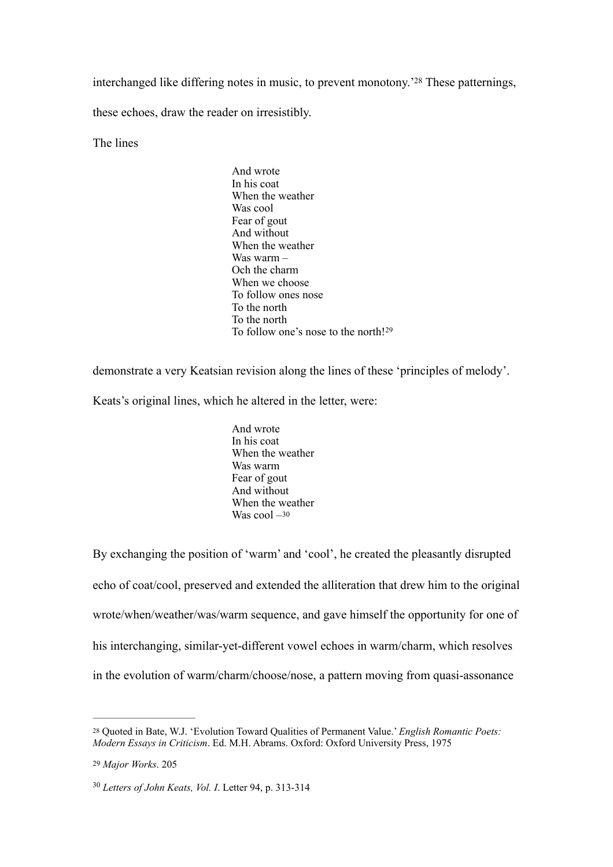interchanged like differing notes in music, to prevent monotony.<sup>2[28](#page-8-0)</sup> These patternings,

these echoes, draw the reader on irresistibly.

The lines

<span id="page-8-3"></span>And wrote In his coat When the weather Was cool Fear of gout And without When the weather Was warm – Och the charm When we choose To follow ones nose To the north To the north To follow one's nose to the north![29](#page-8-1)

demonstrate a very Keatsian revision along the lines of these 'principles of melody'.

Keats's original lines, which he altered in the letter, were:

<span id="page-8-5"></span><span id="page-8-4"></span>And wrote In his coat When the weather Was warm Fear of gout And without When the weather Was cool  $-30$  $-30$ 

By exchanging the position of 'warm' and 'cool', he created the pleasantly disrupted echo of coat/cool, preserved and extended the alliteration that drew him to the original wrote/when/weather/was/warm sequence, and gave himself the opportunity for one of his interchanging, similar-yet-different vowel echoes in warm/charm, which resolves in the evolution of warm/charm/choose/nose, a pattern moving from quasi-assonance

<span id="page-8-0"></span>Quoted in Bate, W.J. 'Evolution Toward Qualities of Permanent Value.' *English Romantic Poets:* [28](#page-8-3) *Modern Essays in Criticism*. Ed. M.H. Abrams. Oxford: Oxford University Press, 1975

<span id="page-8-1"></span>[<sup>29</sup>](#page-8-4) *Major Works*. 205

<span id="page-8-2"></span><sup>&</sup>lt;sup>[30](#page-8-5)</sup> Letters of John Keats, *Vol. I*. Letter 94, p. 313-314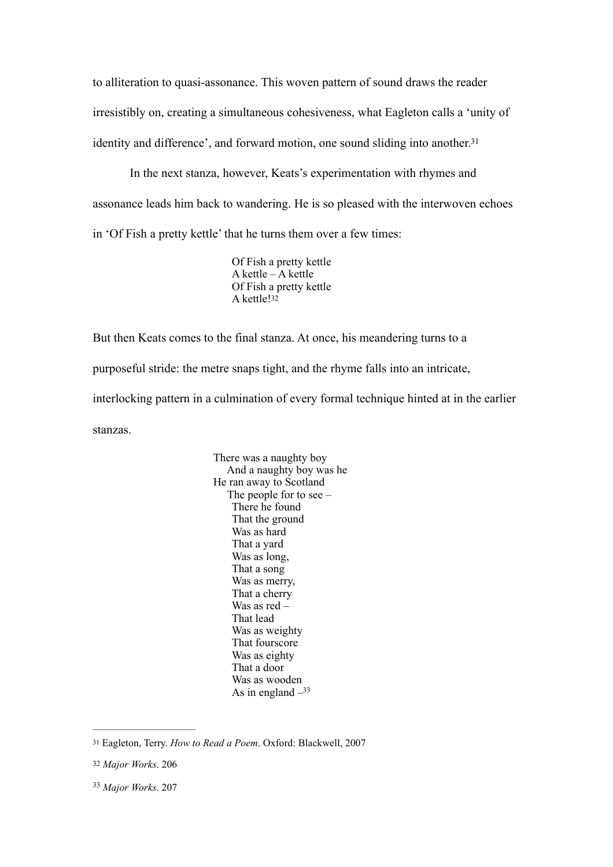to alliteration to quasi-assonance. This woven pattern of sound draws the reader irresistibly on, creating a simultaneous cohesiveness, what Eagleton calls a 'unity of identity and difference', and forward motion, one sound sliding into another.<sup>31</sup>

In the next stanza, however, Keats's experimentation with rhymes and assonance leads him back to wandering. He is so pleased with the interwoven echoes in 'Of Fish a pretty kettle' that he turns them over a few times:

> <span id="page-9-4"></span><span id="page-9-3"></span>Of Fish a pretty kettle A kettle – A kettle Of Fish a pretty kettle A kettle[!32](#page-9-1)

But then Keats comes to the final stanza. At once, his meandering turns to a purposeful stride: the metre snaps tight, and the rhyme falls into an intricate, interlocking pattern in a culmination of every formal technique hinted at in the earlier stanzas.

> There was a naughty boy And a naughty boy was he He ran away to Scotland The people for to see – There he found That the ground Was as hard That a yard Was as long, That a song Was as merry, That a cherry Was as red – That lead Was as weighty That fourscore Was as eighty That a door Was as wooden As in england  $-33$

<span id="page-9-5"></span><span id="page-9-0"></span>[<sup>31</sup>](#page-9-3) Eagleton, Terry. *How to Read a Poem*. Oxford: Blackwell, 2007

<span id="page-9-1"></span>[<sup>32</sup>](#page-9-4) *Major Works*. 206

<span id="page-9-2"></span>*Major Works*. 207 [33](#page-9-5)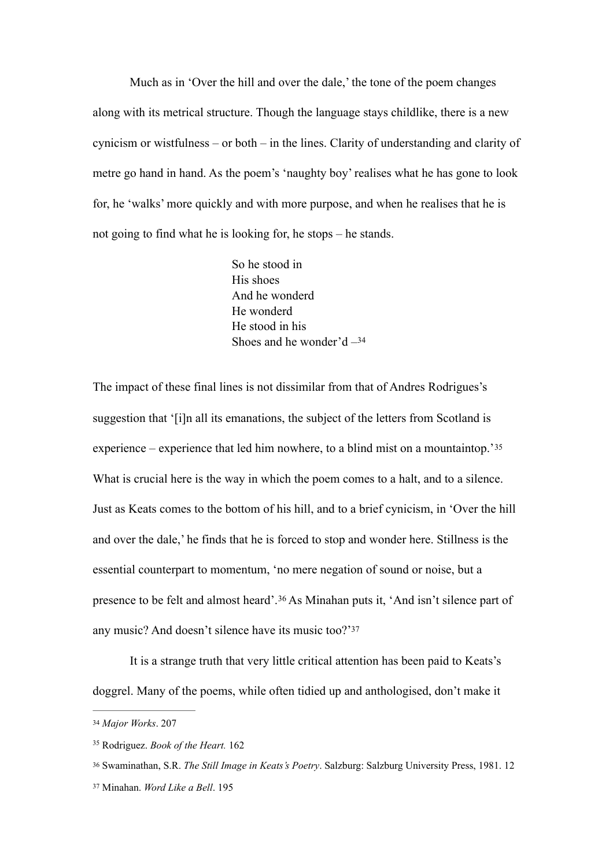Much as in 'Over the hill and over the dale,' the tone of the poem changes along with its metrical structure. Though the language stays childlike, there is a new cynicism or wistfulness – or both – in the lines. Clarity of understanding and clarity of metre go hand in hand. As the poem's 'naughty boy' realises what he has gone to look for, he 'walks' more quickly and with more purpose, and when he realises that he is not going to find what he is looking for, he stops – he stands.

> <span id="page-10-5"></span><span id="page-10-4"></span>So he stood in His shoes And he wonderd He wonderd He stood in his Shoes and he wonder'd  $-34$  $-34$

The impact of these final lines is not dissimilar from that of Andres Rodrigues's suggestion that '[i]n all its emanations, the subject of the letters from Scotland is experience – experience that led him nowhere, to a blind mist on a mountaintop.'[35](#page-10-1) What is crucial here is the way in which the poem comes to a halt, and to a silence. Just as Keats comes to the bottom of his hill, and to a brief cynicism, in 'Over the hill and over the dale,' he finds that he is forced to stop and wonder here. Stillness is the essential counterpart to momentum, 'no mere negation of sound or noise, but a presenceto be felt and almost heard'.<sup>[36](#page-10-2)</sup> As Minahan puts it, 'And isn't silence part of any music? And doesn't silence have its music too?['37](#page-10-3)

<span id="page-10-7"></span><span id="page-10-6"></span>It is a strange truth that very little critical attention has been paid to Keats's doggrel. Many of the poems, while often tidied up and anthologised, don't make it

<span id="page-10-0"></span>[<sup>34</sup>](#page-10-4) *Major Works*. 207

<span id="page-10-1"></span><sup>&</sup>lt;sup>[35](#page-10-5)</sup> Rodriguez. *Book of the Heart*. 162

<span id="page-10-2"></span>[<sup>36</sup>](#page-10-6) Swaminathan, S.R. *The Still Image in Keats's Poetry*. Salzburg: Salzburg University Press, 1981. 12

<span id="page-10-3"></span>[<sup>37</sup>](#page-10-7) Minahan. *Word Like a Bell*. 195